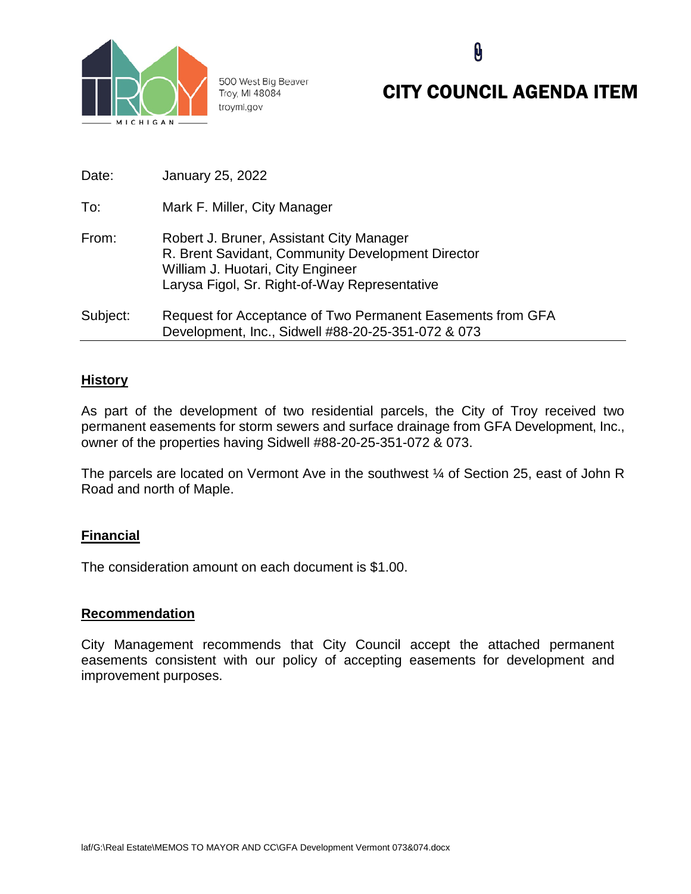

500 West Big Beaver Troy, MI 48084 troymi.gov

# CITY COUNCIL AGENDA ITEM

**Q** 

| Date:    | January 25, 2022                                                                                                                                                                    |
|----------|-------------------------------------------------------------------------------------------------------------------------------------------------------------------------------------|
| To:      | Mark F. Miller, City Manager                                                                                                                                                        |
| From:    | Robert J. Bruner, Assistant City Manager<br>R. Brent Savidant, Community Development Director<br>William J. Huotari, City Engineer<br>Larysa Figol, Sr. Right-of-Way Representative |
| Subject: | Request for Acceptance of Two Permanent Easements from GFA<br>Development, Inc., Sidwell #88-20-25-351-072 & 073                                                                    |

## **History**

As part of the development of two residential parcels, the City of Troy received two permanent easements for storm sewers and surface drainage from GFA Development, Inc., owner of the properties having Sidwell #88-20-25-351-072 & 073.

The parcels are located on Vermont Ave in the southwest ¼ of Section 25, east of John R Road and north of Maple.

# **Financial**

The consideration amount on each document is \$1.00.

#### **Recommendation**

City Management recommends that City Council accept the attached permanent easements consistent with our policy of accepting easements for development and improvement purposes.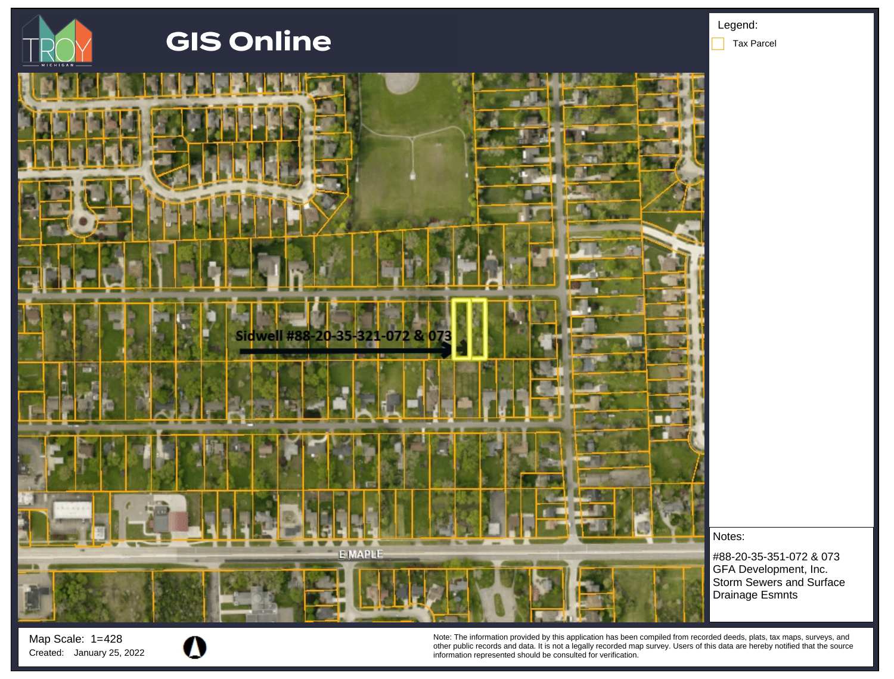

Map Scale: 1= 428

Note: The information provided by this application has been compiled from recorded deeds, plats, tax maps, surveys, and other public records and data. It is not a legally recorded map survey. Users of this data are hereby notified that the source Created: January 25, 2022 **information represented should be consulted for verification**.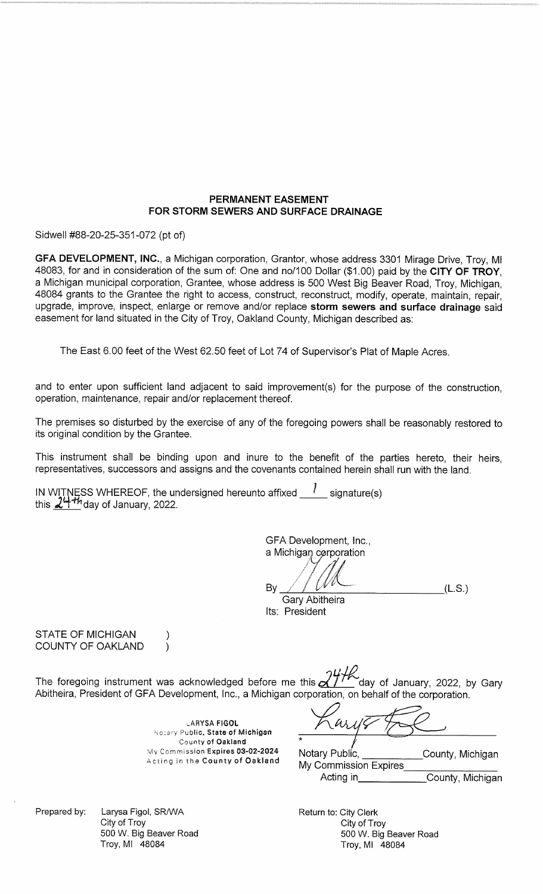## PERMANENT EASEMENT FOR STORM SEWERS AND SURFACE DRAINAGE

Sidwell #88-20-25-351-072 (pt of)

GFA DEVELOPMENT, INC., a Michigan corporation, Grantor, whose address 3301 Mirage Drive, Troy, MI 48083, for and in consideration of the sum of: One and no/100 Dollar (\$1.00) paid by the CITY OF TROY. a Michigan municipal corporation, Grantee, whose address is 500 West Big Beaver Road, Troy, Michigan, 48084 grants to the Grantee the right to access, construct, reconstruct, modify, operate, maintain, repair, upgrade, improve, inspect, enlarge or remove and/or replace storm sewers and surface drainage said easement for land situated in the City of Troy, Oakland County, Michigan described as:

The East 6.00 feet of the West 62.50 feet of Lot 74 of Supervisor's Plat of Maple Acres.

and to enter upon sufficient land adjacent to said improvement(s) for the purpose of the construction, operation, maintenance, repair and/or replacement thereof.

The premises so disturbed by the exercise of any of the foregoing powers shall be reasonably restored to its original condition by the Grantee.

This instrument shall be binding upon and inure to the benefit of the parties hereto, their heirs, representatives, successors and assigns and the covenants contained herein shall run with the land.

IN WITNESS WHEREOF, the undersigned hereunto affixed  $\frac{1}{2}$  signature(s) this  $24$ <sup>th</sup> day of January, 2022.

GFA Development, Inc., a Michigan corporation By  $(L.S.)$ Gary Abitheira Its: President

**STATE OF MICHIGAN** COUNTY OF OAKLAND

The foregoing instrument was acknowledged before me this  $\chi^2/\gamma$ day of January, 2022, by Gary Abitheira, President of GFA Development, Inc., a Michigan corporation, on behalf of the corporation.

> **LARYSA FIGOL** Notary Public, State of Michigan County of Oakland My Commission Expires 03-02-2024 Acting in the County of Oakland

 $\omega$ 

Notary Public, County, Michigan My Commission Expires County, Michigan Acting in

Prepared by: City of Troy

Larysa Figol, SR/WA 500 W. Big Beaver Road Troy, MI 48084

 $\lambda$ 

Return to: City Clerk City of Troy 500 W. Big Beaver Road Troy, MI 48084